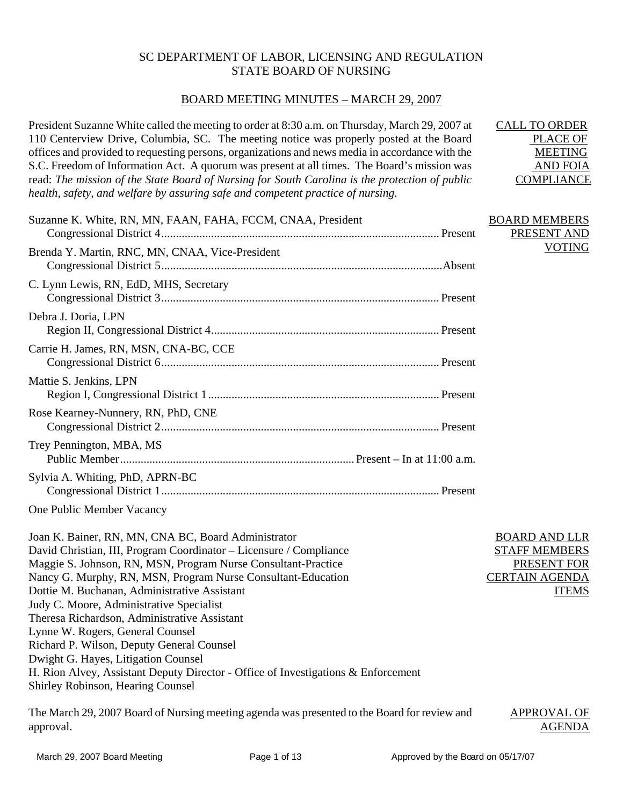### SC DEPARTMENT OF LABOR, LICENSING AND REGULATION STATE BOARD OF NURSING

### BOARD MEETING MINUTES – MARCH 29, 2007

President Suzanne White called the meeting to order at 8:30 a.m. on Thursday, March 29, 2007 at 110 Centerview Drive, Columbia, SC. The meeting notice was properly posted at the Board offices and provided to requesting persons, organizations and news media in accordance with the S.C. Freedom of Information Act. A quorum was present at all times. The Board's mission was read: *The mission of the State Board of Nursing for South Carolina is the protection of public health, safety, and welfare by assuring safe and competent practice of nursing.* CALL TO ORDER PLACE OF MEETING AND FOIA **COMPLIANCE** 

| Suzanne K. White, RN, MN, FAAN, FAHA, FCCM, CNAA, President | <b>BOARD MEMBERS</b><br>PRESENT AND |
|-------------------------------------------------------------|-------------------------------------|
| Brenda Y. Martin, RNC, MN, CNAA, Vice-President             | <b>VOTING</b>                       |
| C. Lynn Lewis, RN, EdD, MHS, Secretary                      |                                     |
| Debra J. Doria, LPN                                         |                                     |
| Carrie H. James, RN, MSN, CNA-BC, CCE                       |                                     |
| Mattie S. Jenkins, LPN                                      |                                     |
| Rose Kearney-Nunnery, RN, PhD, CNE                          |                                     |
| Trey Pennington, MBA, MS                                    |                                     |
| Sylvia A. Whiting, PhD, APRN-BC                             |                                     |

One Public Member Vacancy

Joan K. Bainer, RN, MN, CNA BC, Board Administrator David Christian, III, Program Coordinator – Licensure / Compliance Maggie S. Johnson, RN, MSN, Program Nurse Consultant-Practice Nancy G. Murphy, RN, MSN, Program Nurse Consultant-Education Dottie M. Buchanan, Administrative Assistant Judy C. Moore, Administrative Specialist Theresa Richardson, Administrative Assistant Lynne W. Rogers, General Counsel Richard P. Wilson, Deputy General Counsel Dwight G. Hayes, Litigation Counsel H. Rion Alvey, Assistant Deputy Director - Office of Investigations & Enforcement Shirley Robinson, Hearing Counsel

The March 29, 2007 Board of Nursing meeting agenda was presented to the Board for review and approval. APPROVAL OF AGENDA

BOARD AND LLR STAFF MEMBERS PRESENT FOR CERTAIN AGENDA

ITEMS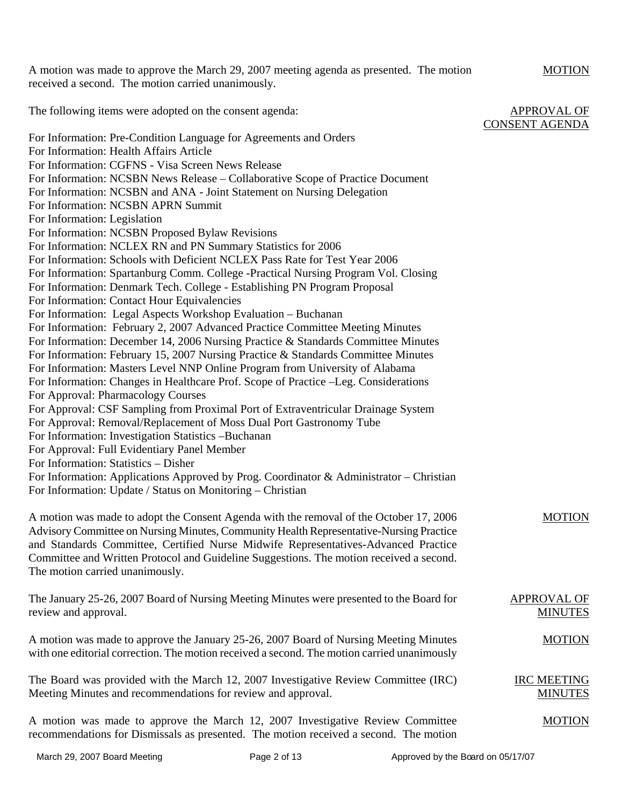A motion was made to approve the March 29, 2007 meeting agenda as presented. The motion received a second. The motion carried unanimously.

The following items were adopted on the consent agenda:

For Information: Pre-Condition Language for Agreements and Orders For Information: Health Affairs Article For Information: CGFNS - Visa Screen News Release For Information: NCSBN News Release – Collaborative Scope of Practice Document For Information: NCSBN and ANA - Joint Statement on Nursing Delegation For Information: NCSBN APRN Summit For Information: Legislation For Information: NCSBN Proposed Bylaw Revisions For Information: NCLEX RN and PN Summary Statistics for 2006 For Information: Schools with Deficient NCLEX Pass Rate for Test Year 2006 For Information: Spartanburg Comm. College -Practical Nursing Program Vol. Closing For Information: Denmark Tech. College - Establishing PN Program Proposal For Information: Contact Hour Equivalencies For Information: Legal Aspects Workshop Evaluation – Buchanan For Information: February 2, 2007 Advanced Practice Committee Meeting Minutes For Information: December 14, 2006 Nursing Practice & Standards Committee Minutes For Information: February 15, 2007 Nursing Practice & Standards Committee Minutes For Information: Masters Level NNP Online Program from University of Alabama For Information: Changes in Healthcare Prof. Scope of Practice –Leg. Considerations For Approval: Pharmacology Courses For Approval: CSF Sampling from Proximal Port of Extraventricular Drainage System For Approval: Removal/Replacement of Moss Dual Port Gastronomy Tube For Information: Investigation Statistics –Buchanan For Approval: Full Evidentiary Panel Member For Information: Statistics – Disher For Information: Applications Approved by Prog. Coordinator  $\&$  Administrator – Christian For Information: Update / Status on Monitoring – Christian CONSENT AGENDA

A motion was made to adopt the Consent Agenda with the removal of the October 17, 2006 Advisory Committee on Nursing Minutes, Community Health Representative-Nursing Practice and Standards Committee, Certified Nurse Midwife Representatives-Advanced Practice Committee and Written Protocol and Guideline Suggestions. The motion received a second. The motion carried unanimously.

The January 25-26, 2007 Board of Nursing Meeting Minutes were presented to the Board for review and approval. APPROVAL OF MINUTES

A motion was made to approve the January 25-26, 2007 Board of Nursing Meeting Minutes with one editorial correction. The motion received a second. The motion carried unanimously

The Board was provided with the March 12, 2007 Investigative Review Committee (IRC) Meeting Minutes and recommendations for review and approval.

A motion was made to approve the March 12, 2007 Investigative Review Committee recommendations for Dismissals as presented. The motion received a second. The motion

MOTION

MOTION

MOTION

IRC MEETING MINUTES

APPROVAL OF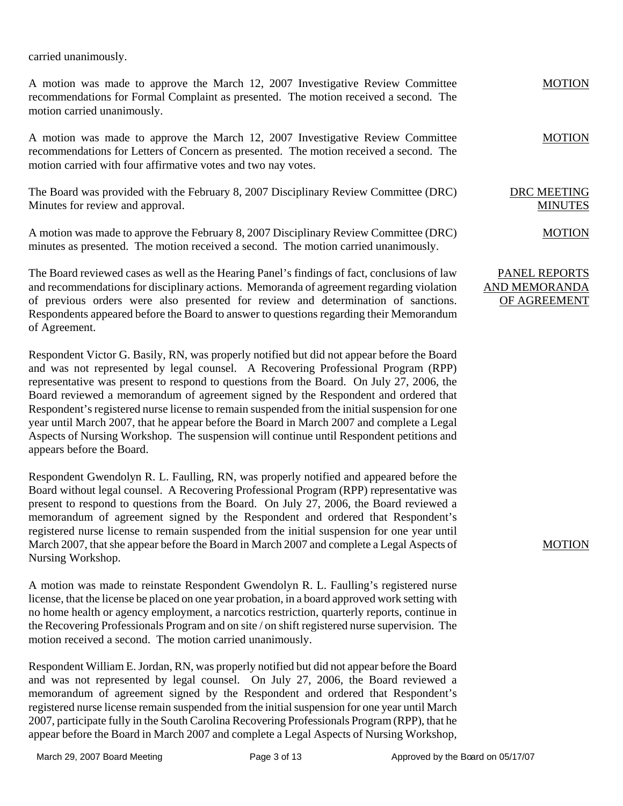carried unanimously.

A motion was made to approve the March 12, 2007 Investigative Review Committee recommendations for Formal Complaint as presented. The motion received a second. The motion carried unanimously.

A motion was made to approve the March 12, 2007 Investigative Review Committee recommendations for Letters of Concern as presented. The motion received a second. The motion carried with four affirmative votes and two nay votes.

The Board was provided with the February 8, 2007 Disciplinary Review Committee (DRC) Minutes for review and approval.

A motion was made to approve the February 8, 2007 Disciplinary Review Committee (DRC) minutes as presented. The motion received a second. The motion carried unanimously.

The Board reviewed cases as well as the Hearing Panel's findings of fact, conclusions of law and recommendations for disciplinary actions. Memoranda of agreement regarding violation of previous orders were also presented for review and determination of sanctions. Respondents appeared before the Board to answer to questions regarding their Memorandum of Agreement.

Respondent Victor G. Basily, RN, was properly notified but did not appear before the Board and was not represented by legal counsel. A Recovering Professional Program (RPP) representative was present to respond to questions from the Board. On July 27, 2006, the Board reviewed a memorandum of agreement signed by the Respondent and ordered that Respondent's registered nurse license to remain suspended from the initial suspension for one year until March 2007, that he appear before the Board in March 2007 and complete a Legal Aspects of Nursing Workshop. The suspension will continue until Respondent petitions and appears before the Board.

Respondent Gwendolyn R. L. Faulling, RN, was properly notified and appeared before the Board without legal counsel. A Recovering Professional Program (RPP) representative was present to respond to questions from the Board. On July 27, 2006, the Board reviewed a memorandum of agreement signed by the Respondent and ordered that Respondent's registered nurse license to remain suspended from the initial suspension for one year until March 2007, that she appear before the Board in March 2007 and complete a Legal Aspects of Nursing Workshop.

A motion was made to reinstate Respondent Gwendolyn R. L. Faulling's registered nurse license, that the license be placed on one year probation, in a board approved work setting with no home health or agency employment, a narcotics restriction, quarterly reports, continue in the Recovering Professionals Program and on site / on shift registered nurse supervision. The motion received a second. The motion carried unanimously.

Respondent William E. Jordan, RN, was properly notified but did not appear before the Board and was not represented by legal counsel. On July 27, 2006, the Board reviewed a memorandum of agreement signed by the Respondent and ordered that Respondent's registered nurse license remain suspended from the initial suspension for one year until March 2007, participate fully in the South Carolina Recovering Professionals Program (RPP), that he appear before the Board in March 2007 and complete a Legal Aspects of Nursing Workshop,

MOTION

MOTION

DRC MEETING MINUTES

MOTION

## PANEL REPORTS AND MEMORANDA OF AGREEMENT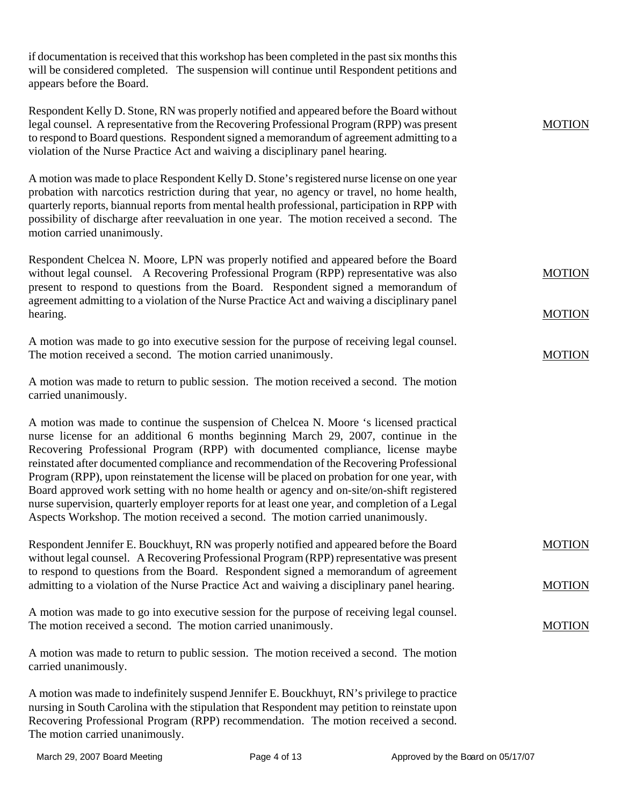if documentation is received that this workshop has been completed in the past six months this will be considered completed. The suspension will continue until Respondent petitions and appears before the Board.

| Respondent Kelly D. Stone, RN was properly notified and appeared before the Board without<br>legal counsel. A representative from the Recovering Professional Program (RPP) was present<br>to respond to Board questions. Respondent signed a memorandum of agreement admitting to a<br>violation of the Nurse Practice Act and waiving a disciplinary panel hearing.                                                                                                                                                                                                                                                                                                                                                                         | <b>MOTION</b> |
|-----------------------------------------------------------------------------------------------------------------------------------------------------------------------------------------------------------------------------------------------------------------------------------------------------------------------------------------------------------------------------------------------------------------------------------------------------------------------------------------------------------------------------------------------------------------------------------------------------------------------------------------------------------------------------------------------------------------------------------------------|---------------|
| A motion was made to place Respondent Kelly D. Stone's registered nurse license on one year<br>probation with narcotics restriction during that year, no agency or travel, no home health,<br>quarterly reports, biannual reports from mental health professional, participation in RPP with<br>possibility of discharge after reevaluation in one year. The motion received a second. The<br>motion carried unanimously.                                                                                                                                                                                                                                                                                                                     |               |
| Respondent Chelcea N. Moore, LPN was properly notified and appeared before the Board<br>without legal counsel. A Recovering Professional Program (RPP) representative was also<br>present to respond to questions from the Board. Respondent signed a memorandum of                                                                                                                                                                                                                                                                                                                                                                                                                                                                           | <b>MOTION</b> |
| agreement admitting to a violation of the Nurse Practice Act and waiving a disciplinary panel<br>hearing.                                                                                                                                                                                                                                                                                                                                                                                                                                                                                                                                                                                                                                     | <b>MOTION</b> |
| A motion was made to go into executive session for the purpose of receiving legal counsel.<br>The motion received a second. The motion carried unanimously.                                                                                                                                                                                                                                                                                                                                                                                                                                                                                                                                                                                   | <b>MOTION</b> |
| A motion was made to return to public session. The motion received a second. The motion<br>carried unanimously.                                                                                                                                                                                                                                                                                                                                                                                                                                                                                                                                                                                                                               |               |
| A motion was made to continue the suspension of Chelcea N. Moore 's licensed practical<br>nurse license for an additional 6 months beginning March 29, 2007, continue in the<br>Recovering Professional Program (RPP) with documented compliance, license maybe<br>reinstated after documented compliance and recommendation of the Recovering Professional<br>Program (RPP), upon reinstatement the license will be placed on probation for one year, with<br>Board approved work setting with no home health or agency and on-site/on-shift registered<br>nurse supervision, quarterly employer reports for at least one year, and completion of a Legal<br>Aspects Workshop. The motion received a second. The motion carried unanimously. |               |
| Respondent Jennifer E. Bouckhuyt, RN was properly notified and appeared before the Board<br>without legal counsel. A Recovering Professional Program (RPP) representative was present<br>to respond to questions from the Board. Respondent signed a memorandum of agreement                                                                                                                                                                                                                                                                                                                                                                                                                                                                  | <b>MOTION</b> |
| admitting to a violation of the Nurse Practice Act and waiving a disciplinary panel hearing.                                                                                                                                                                                                                                                                                                                                                                                                                                                                                                                                                                                                                                                  | <b>MOTION</b> |
| A motion was made to go into executive session for the purpose of receiving legal counsel.<br>The motion received a second. The motion carried unanimously.                                                                                                                                                                                                                                                                                                                                                                                                                                                                                                                                                                                   | <b>MOTION</b> |
| A motion was made to return to public session. The motion received a second. The motion<br>carried unanimously.                                                                                                                                                                                                                                                                                                                                                                                                                                                                                                                                                                                                                               |               |
| A motion was made to indefinitely suspend Jennifer E. Bouckhuyt, RN's privilege to practice<br>nursing in South Carolina with the stipulation that Respondent may petition to reinstate upon<br>Recovering Professional Program (RPP) recommendation. The motion received a second.                                                                                                                                                                                                                                                                                                                                                                                                                                                           |               |

The motion carried unanimously.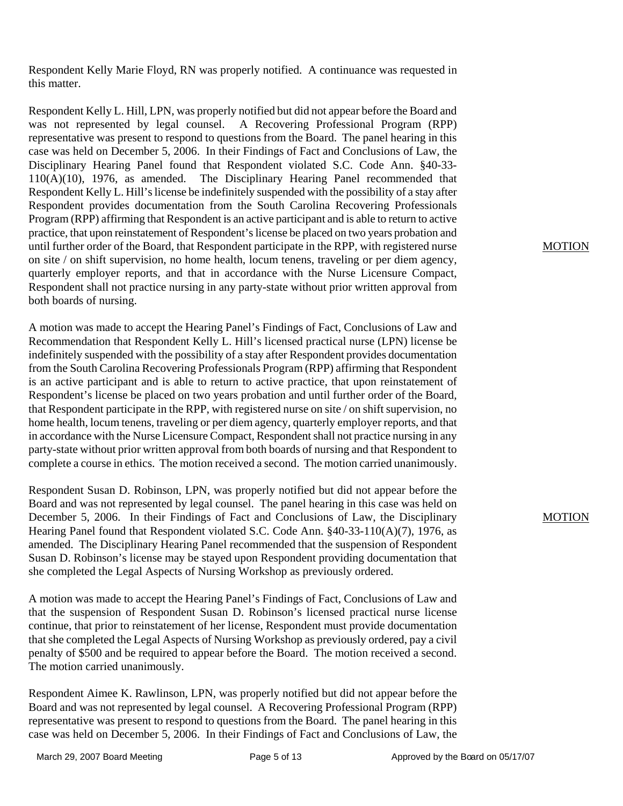Respondent Kelly Marie Floyd, RN was properly notified. A continuance was requested in this matter.

Respondent Kelly L. Hill, LPN, was properly notified but did not appear before the Board and was not represented by legal counsel. A Recovering Professional Program (RPP) representative was present to respond to questions from the Board. The panel hearing in this case was held on December 5, 2006. In their Findings of Fact and Conclusions of Law, the Disciplinary Hearing Panel found that Respondent violated S.C. Code Ann. §40-33- 110(A)(10), 1976, as amended. The Disciplinary Hearing Panel recommended that Respondent Kelly L. Hill's license be indefinitely suspended with the possibility of a stay after Respondent provides documentation from the South Carolina Recovering Professionals Program (RPP) affirming that Respondent is an active participant and is able to return to active practice, that upon reinstatement of Respondent's license be placed on two years probation and until further order of the Board, that Respondent participate in the RPP, with registered nurse on site / on shift supervision, no home health, locum tenens, traveling or per diem agency, quarterly employer reports, and that in accordance with the Nurse Licensure Compact, Respondent shall not practice nursing in any party-state without prior written approval from both boards of nursing.

A motion was made to accept the Hearing Panel's Findings of Fact, Conclusions of Law and Recommendation that Respondent Kelly L. Hill's licensed practical nurse (LPN) license be indefinitely suspended with the possibility of a stay after Respondent provides documentation from the South Carolina Recovering Professionals Program (RPP) affirming that Respondent is an active participant and is able to return to active practice, that upon reinstatement of Respondent's license be placed on two years probation and until further order of the Board, that Respondent participate in the RPP, with registered nurse on site / on shift supervision, no home health, locum tenens, traveling or per diem agency, quarterly employer reports, and that in accordance with the Nurse Licensure Compact, Respondent shall not practice nursing in any party-state without prior written approval from both boards of nursing and that Respondent to complete a course in ethics. The motion received a second. The motion carried unanimously.

Respondent Susan D. Robinson, LPN, was properly notified but did not appear before the Board and was not represented by legal counsel. The panel hearing in this case was held on December 5, 2006. In their Findings of Fact and Conclusions of Law, the Disciplinary Hearing Panel found that Respondent violated S.C. Code Ann. §40-33-110(A)(7), 1976, as amended. The Disciplinary Hearing Panel recommended that the suspension of Respondent Susan D. Robinson's license may be stayed upon Respondent providing documentation that she completed the Legal Aspects of Nursing Workshop as previously ordered.

A motion was made to accept the Hearing Panel's Findings of Fact, Conclusions of Law and that the suspension of Respondent Susan D. Robinson's licensed practical nurse license continue, that prior to reinstatement of her license, Respondent must provide documentation that she completed the Legal Aspects of Nursing Workshop as previously ordered, pay a civil penalty of \$500 and be required to appear before the Board. The motion received a second. The motion carried unanimously.

Respondent Aimee K. Rawlinson, LPN, was properly notified but did not appear before the Board and was not represented by legal counsel. A Recovering Professional Program (RPP) representative was present to respond to questions from the Board. The panel hearing in this case was held on December 5, 2006. In their Findings of Fact and Conclusions of Law, the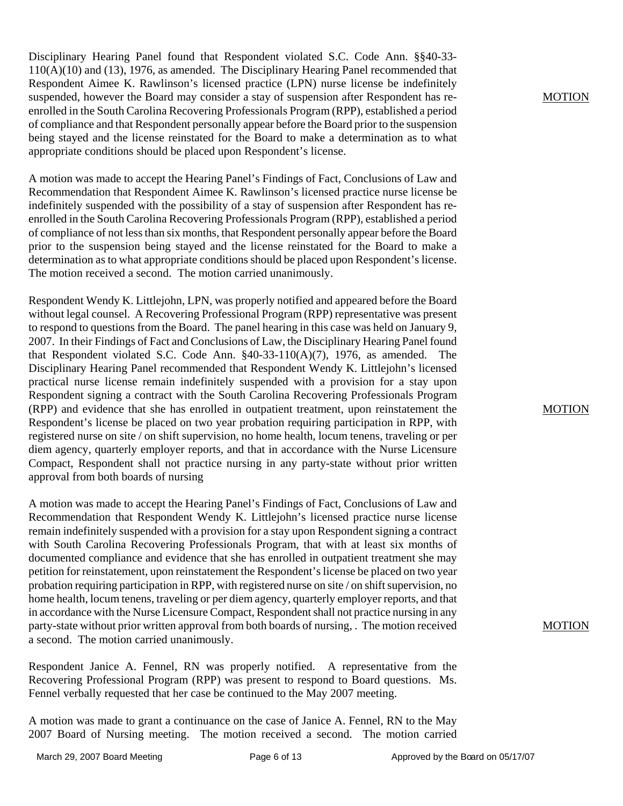Disciplinary Hearing Panel found that Respondent violated S.C. Code Ann. §§40-33- 110(A)(10) and (13), 1976, as amended. The Disciplinary Hearing Panel recommended that Respondent Aimee K. Rawlinson's licensed practice (LPN) nurse license be indefinitely suspended, however the Board may consider a stay of suspension after Respondent has reenrolled in the South Carolina Recovering Professionals Program (RPP), established a period of compliance and that Respondent personally appear before the Board prior to the suspension being stayed and the license reinstated for the Board to make a determination as to what appropriate conditions should be placed upon Respondent's license.

A motion was made to accept the Hearing Panel's Findings of Fact, Conclusions of Law and Recommendation that Respondent Aimee K. Rawlinson's licensed practice nurse license be indefinitely suspended with the possibility of a stay of suspension after Respondent has reenrolled in the South Carolina Recovering Professionals Program (RPP), established a period of compliance of not less than six months, that Respondent personally appear before the Board prior to the suspension being stayed and the license reinstated for the Board to make a determination as to what appropriate conditions should be placed upon Respondent's license. The motion received a second. The motion carried unanimously.

Respondent Wendy K. Littlejohn, LPN, was properly notified and appeared before the Board without legal counsel. A Recovering Professional Program (RPP) representative was present to respond to questions from the Board. The panel hearing in this case was held on January 9, 2007. In their Findings of Fact and Conclusions of Law, the Disciplinary Hearing Panel found that Respondent violated S.C. Code Ann. §40-33-110(A)(7), 1976, as amended. The Disciplinary Hearing Panel recommended that Respondent Wendy K. Littlejohn's licensed practical nurse license remain indefinitely suspended with a provision for a stay upon Respondent signing a contract with the South Carolina Recovering Professionals Program (RPP) and evidence that she has enrolled in outpatient treatment, upon reinstatement the Respondent's license be placed on two year probation requiring participation in RPP, with registered nurse on site / on shift supervision, no home health, locum tenens, traveling or per diem agency, quarterly employer reports, and that in accordance with the Nurse Licensure Compact, Respondent shall not practice nursing in any party-state without prior written approval from both boards of nursing

A motion was made to accept the Hearing Panel's Findings of Fact, Conclusions of Law and Recommendation that Respondent Wendy K. Littlejohn's licensed practice nurse license remain indefinitely suspended with a provision for a stay upon Respondent signing a contract with South Carolina Recovering Professionals Program, that with at least six months of documented compliance and evidence that she has enrolled in outpatient treatment she may petition for reinstatement, upon reinstatement the Respondent's license be placed on two year probation requiring participation in RPP, with registered nurse on site / on shift supervision, no home health, locum tenens, traveling or per diem agency, quarterly employer reports, and that in accordance with the Nurse Licensure Compact, Respondent shall not practice nursing in any party-state without prior written approval from both boards of nursing, . The motion received a second. The motion carried unanimously.

Respondent Janice A. Fennel, RN was properly notified. A representative from the Recovering Professional Program (RPP) was present to respond to Board questions. Ms. Fennel verbally requested that her case be continued to the May 2007 meeting.

A motion was made to grant a continuance on the case of Janice A. Fennel, RN to the May 2007 Board of Nursing meeting. The motion received a second. The motion carried

MOTION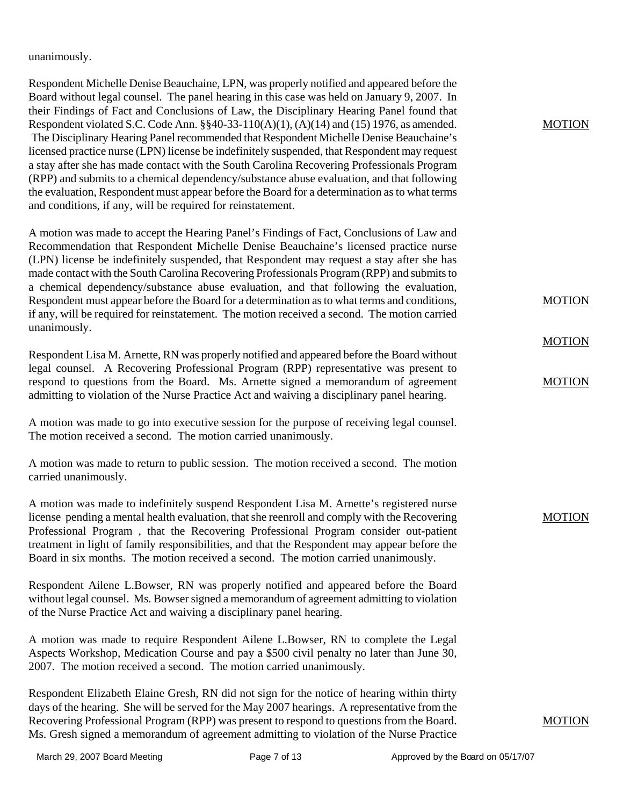unanimously.

Respondent Michelle Denise Beauchaine, LPN, was properly notified and appeared before the Board without legal counsel. The panel hearing in this case was held on January 9, 2007. In their Findings of Fact and Conclusions of Law, the Disciplinary Hearing Panel found that Respondent violated S.C. Code Ann. §§40-33-110(A)(1), (A)(14) and (15) 1976, as amended. The Disciplinary Hearing Panel recommended that Respondent Michelle Denise Beauchaine's licensed practice nurse (LPN) license be indefinitely suspended, that Respondent may request a stay after she has made contact with the South Carolina Recovering Professionals Program (RPP) and submits to a chemical dependency/substance abuse evaluation, and that following the evaluation, Respondent must appear before the Board for a determination as to what terms and conditions, if any, will be required for reinstatement. A motion was made to accept the Hearing Panel's Findings of Fact, Conclusions of Law and Recommendation that Respondent Michelle Denise Beauchaine's licensed practice nurse (LPN) license be indefinitely suspended, that Respondent may request a stay after she has made contact with the South Carolina Recovering Professionals Program (RPP) and submits to a chemical dependency/substance abuse evaluation, and that following the evaluation, Respondent must appear before the Board for a determination as to what terms and conditions, if any, will be required for reinstatement. The motion received a second. The motion carried unanimously. Respondent Lisa M. Arnette, RN was properly notified and appeared before the Board without legal counsel. A Recovering Professional Program (RPP) representative was present to respond to questions from the Board. Ms. Arnette signed a memorandum of agreement admitting to violation of the Nurse Practice Act and waiving a disciplinary panel hearing. A motion was made to go into executive session for the purpose of receiving legal counsel. The motion received a second. The motion carried unanimously. A motion was made to return to public session. The motion received a second. The motion carried unanimously. A motion was made to indefinitely suspend Respondent Lisa M. Arnette's registered nurse license pending a mental health evaluation, that she reenroll and comply with the Recovering Professional Program , that the Recovering Professional Program consider out-patient treatment in light of family responsibilities, and that the Respondent may appear before the Board in six months. The motion received a second. The motion carried unanimously. Respondent Ailene L.Bowser, RN was properly notified and appeared before the Board without legal counsel. Ms. Bowser signed a memorandum of agreement admitting to violation of the Nurse Practice Act and waiving a disciplinary panel hearing. A motion was made to require Respondent Ailene L.Bowser, RN to complete the Legal Aspects Workshop, Medication Course and pay a \$500 civil penalty no later than June 30, 2007. The motion received a second. The motion carried unanimously. MOTION MOTION **MOTION** MOTION MOTION

Respondent Elizabeth Elaine Gresh, RN did not sign for the notice of hearing within thirty days of the hearing. She will be served for the May 2007 hearings. A representative from the Recovering Professional Program (RPP) was present to respond to questions from the Board. Ms. Gresh signed a memorandum of agreement admitting to violation of the Nurse Practice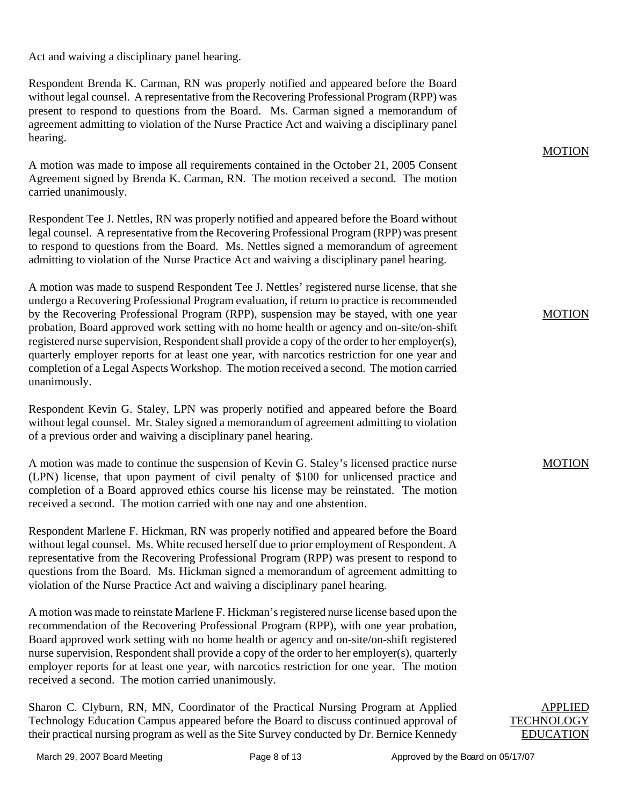Act and waiving a disciplinary panel hearing.

Respondent Brenda K. Carman, RN was properly notified and appeared before the Board without legal counsel. A representative from the Recovering Professional Program (RPP) was present to respond to questions from the Board. Ms. Carman signed a memorandum of agreement admitting to violation of the Nurse Practice Act and waiving a disciplinary panel hearing.

A motion was made to impose all requirements contained in the October 21, 2005 Consent Agreement signed by Brenda K. Carman, RN. The motion received a second. The motion carried unanimously.

Respondent Tee J. Nettles, RN was properly notified and appeared before the Board without legal counsel. A representative from the Recovering Professional Program (RPP) was present to respond to questions from the Board. Ms. Nettles signed a memorandum of agreement admitting to violation of the Nurse Practice Act and waiving a disciplinary panel hearing.

A motion was made to suspend Respondent Tee J. Nettles' registered nurse license, that she undergo a Recovering Professional Program evaluation, if return to practice is recommended by the Recovering Professional Program (RPP), suspension may be stayed, with one year probation, Board approved work setting with no home health or agency and on-site/on-shift registered nurse supervision, Respondent shall provide a copy of the order to her employer(s), quarterly employer reports for at least one year, with narcotics restriction for one year and completion of a Legal Aspects Workshop. The motion received a second. The motion carried unanimously.

Respondent Kevin G. Staley, LPN was properly notified and appeared before the Board without legal counsel. Mr. Staley signed a memorandum of agreement admitting to violation of a previous order and waiving a disciplinary panel hearing.

A motion was made to continue the suspension of Kevin G. Staley's licensed practice nurse (LPN) license, that upon payment of civil penalty of \$100 for unlicensed practice and completion of a Board approved ethics course his license may be reinstated. The motion received a second. The motion carried with one nay and one abstention.

Respondent Marlene F. Hickman, RN was properly notified and appeared before the Board without legal counsel. Ms. White recused herself due to prior employment of Respondent. A representative from the Recovering Professional Program (RPP) was present to respond to questions from the Board. Ms. Hickman signed a memorandum of agreement admitting to violation of the Nurse Practice Act and waiving a disciplinary panel hearing.

A motion was made to reinstate Marlene F. Hickman's registered nurse license based upon the recommendation of the Recovering Professional Program (RPP), with one year probation, Board approved work setting with no home health or agency and on-site/on-shift registered nurse supervision, Respondent shall provide a copy of the order to her employer(s), quarterly employer reports for at least one year, with narcotics restriction for one year. The motion received a second. The motion carried unanimously.

Sharon C. Clyburn, RN, MN, Coordinator of the Practical Nursing Program at Applied Technology Education Campus appeared before the Board to discuss continued approval of their practical nursing program as well as the Site Survey conducted by Dr. Bernice Kennedy

## MOTION

#### MOTION

APPLIED **TECHNOLOGY EDUCATION**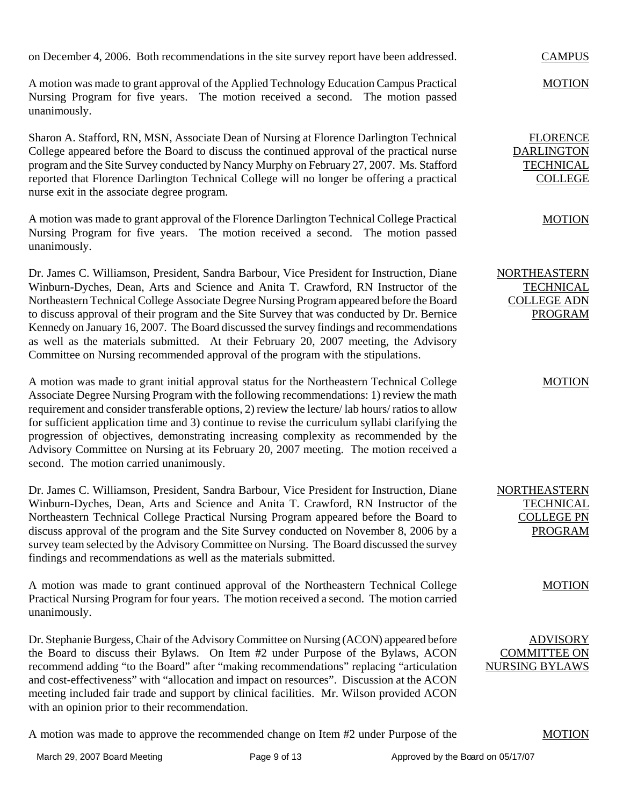on December 4, 2006. Both recommendations in the site survey report have been addressed.

A motion was made to grant approval of the Applied Technology Education Campus Practical Nursing Program for five years. The motion received a second. The motion passed unanimously.

Sharon A. Stafford, RN, MSN, Associate Dean of Nursing at Florence Darlington Technical College appeared before the Board to discuss the continued approval of the practical nurse program and the Site Survey conducted by Nancy Murphy on February 27, 2007. Ms. Stafford reported that Florence Darlington Technical College will no longer be offering a practical nurse exit in the associate degree program.

A motion was made to grant approval of the Florence Darlington Technical College Practical Nursing Program for five years. The motion received a second. The motion passed unanimously.

Dr. James C. Williamson, President, Sandra Barbour, Vice President for Instruction, Diane Winburn-Dyches, Dean, Arts and Science and Anita T. Crawford, RN Instructor of the Northeastern Technical College Associate Degree Nursing Program appeared before the Board to discuss approval of their program and the Site Survey that was conducted by Dr. Bernice Kennedy on January 16, 2007. The Board discussed the survey findings and recommendations as well as the materials submitted. At their February 20, 2007 meeting, the Advisory Committee on Nursing recommended approval of the program with the stipulations.

A motion was made to grant initial approval status for the Northeastern Technical College Associate Degree Nursing Program with the following recommendations: 1) review the math requirement and consider transferable options, 2) review the lecture/ lab hours/ ratios to allow for sufficient application time and 3) continue to revise the curriculum syllabi clarifying the progression of objectives, demonstrating increasing complexity as recommended by the Advisory Committee on Nursing at its February 20, 2007 meeting. The motion received a second. The motion carried unanimously.

Dr. James C. Williamson, President, Sandra Barbour, Vice President for Instruction, Diane Winburn-Dyches, Dean, Arts and Science and Anita T. Crawford, RN Instructor of the Northeastern Technical College Practical Nursing Program appeared before the Board to discuss approval of the program and the Site Survey conducted on November 8, 2006 by a survey team selected by the Advisory Committee on Nursing. The Board discussed the survey findings and recommendations as well as the materials submitted.

A motion was made to grant continued approval of the Northeastern Technical College Practical Nursing Program for four years. The motion received a second. The motion carried unanimously.

Dr. Stephanie Burgess, Chair of the Advisory Committee on Nursing (ACON) appeared before the Board to discuss their Bylaws. On Item #2 under Purpose of the Bylaws, ACON recommend adding "to the Board" after "making recommendations" replacing "articulation and cost-effectiveness" with "allocation and impact on resources". Discussion at the ACON meeting included fair trade and support by clinical facilities. Mr. Wilson provided ACON with an opinion prior to their recommendation.

A motion was made to approve the recommended change on Item #2 under Purpose of the

**CAMPUS** 

MOTION

FLORENCE DARLINGTON **TECHNICAL** COLLEGE

MOTION

NORTHEASTERN **TECHNICAL** COLLEGE ADN PROGRAM

## MOTION

NORTHEASTERN **TECHNICAL** COLLEGE PN PROGRAM

#### MOTION

ADVISORY COMMITTEE ON NURSING BYLAWS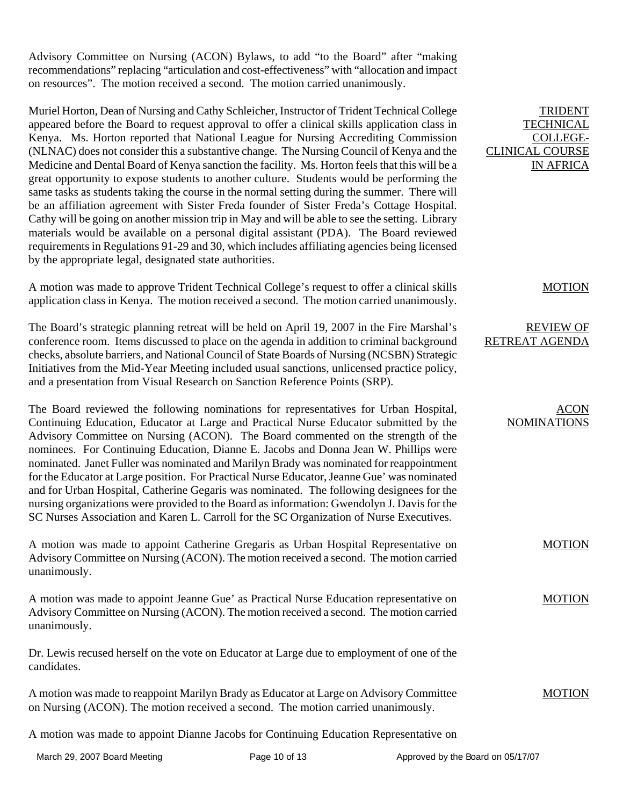Advisory Committee on Nursing (ACON) Bylaws, to add "to the Board" after "making recommendations" replacing "articulation and cost-effectiveness" with "allocation and impact on resources". The motion received a second. The motion carried unanimously.

Muriel Horton, Dean of Nursing and Cathy Schleicher, Instructor of Trident Technical College appeared before the Board to request approval to offer a clinical skills application class in Kenya. Ms. Horton reported that National League for Nursing Accrediting Commission (NLNAC) does not consider this a substantive change. The Nursing Council of Kenya and the Medicine and Dental Board of Kenya sanction the facility. Ms. Horton feels that this will be a great opportunity to expose students to another culture. Students would be performing the same tasks as students taking the course in the normal setting during the summer. There will be an affiliation agreement with Sister Freda founder of Sister Freda's Cottage Hospital. Cathy will be going on another mission trip in May and will be able to see the setting. Library materials would be available on a personal digital assistant (PDA). The Board reviewed requirements in Regulations 91-29 and 30, which includes affiliating agencies being licensed by the appropriate legal, designated state authorities.

A motion was made to approve Trident Technical College's request to offer a clinical skills application class in Kenya. The motion received a second. The motion carried unanimously.

The Board's strategic planning retreat will be held on April 19, 2007 in the Fire Marshal's conference room. Items discussed to place on the agenda in addition to criminal background checks, absolute barriers, and National Council of State Boards of Nursing (NCSBN) Strategic Initiatives from the Mid-Year Meeting included usual sanctions, unlicensed practice policy, and a presentation from Visual Research on Sanction Reference Points (SRP).

The Board reviewed the following nominations for representatives for Urban Hospital, Continuing Education, Educator at Large and Practical Nurse Educator submitted by the Advisory Committee on Nursing (ACON). The Board commented on the strength of the nominees. For Continuing Education, Dianne E. Jacobs and Donna Jean W. Phillips were nominated. Janet Fuller was nominated and Marilyn Brady was nominated for reappointment for the Educator at Large position. For Practical Nurse Educator, Jeanne Gue' was nominated and for Urban Hospital, Catherine Gegaris was nominated. The following designees for the nursing organizations were provided to the Board as information: Gwendolyn J. Davis for the SC Nurses Association and Karen L. Carroll for the SC Organization of Nurse Executives.

A motion was made to appoint Catherine Gregaris as Urban Hospital Representative on Advisory Committee on Nursing (ACON). The motion received a second. The motion carried unanimously.

A motion was made to appoint Jeanne Gue' as Practical Nurse Education representative on Advisory Committee on Nursing (ACON). The motion received a second. The motion carried unanimously.

Dr. Lewis recused herself on the vote on Educator at Large due to employment of one of the candidates.

A motion was made to reappoint Marilyn Brady as Educator at Large on Advisory Committee on Nursing (ACON). The motion received a second. The motion carried unanimously. MOTION

A motion was made to appoint Dianne Jacobs for Continuing Education Representative on

**TRIDENT TECHNICAL** COLLEGE-CLINICAL COURSE IN AFRICA

MOTION

### REVIEW OF RETREAT AGENDA

ACON NOMINATIONS

MOTION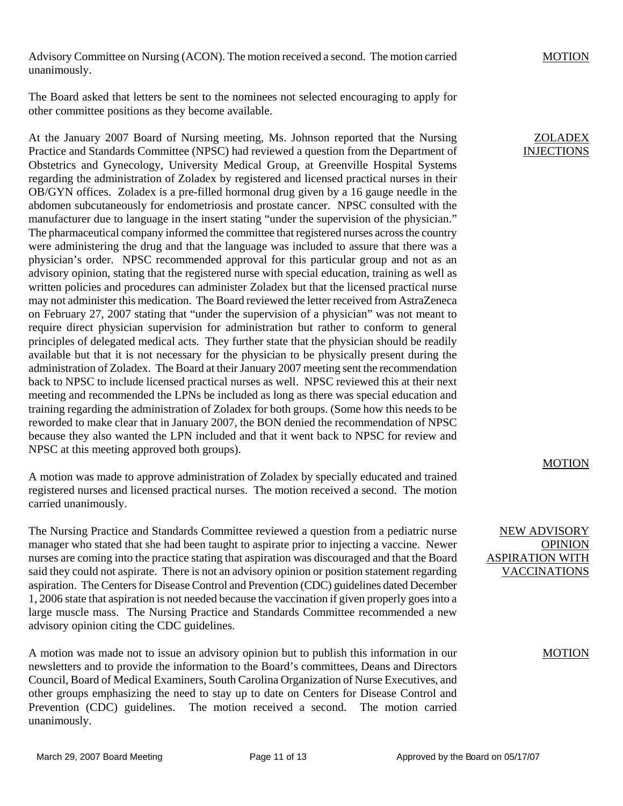Advisory Committee on Nursing (ACON). The motion received a second. The motion carried unanimously.

The Board asked that letters be sent to the nominees not selected encouraging to apply for other committee positions as they become available.

At the January 2007 Board of Nursing meeting, Ms. Johnson reported that the Nursing Practice and Standards Committee (NPSC) had reviewed a question from the Department of Obstetrics and Gynecology, University Medical Group, at Greenville Hospital Systems regarding the administration of Zoladex by registered and licensed practical nurses in their OB/GYN offices. Zoladex is a pre-filled hormonal drug given by a 16 gauge needle in the abdomen subcutaneously for endometriosis and prostate cancer. NPSC consulted with the manufacturer due to language in the insert stating "under the supervision of the physician." The pharmaceutical company informed the committee that registered nurses across the country were administering the drug and that the language was included to assure that there was a physician's order. NPSC recommended approval for this particular group and not as an advisory opinion, stating that the registered nurse with special education, training as well as written policies and procedures can administer Zoladex but that the licensed practical nurse may not administer this medication. The Board reviewed the letter received from AstraZeneca on February 27, 2007 stating that "under the supervision of a physician" was not meant to require direct physician supervision for administration but rather to conform to general principles of delegated medical acts. They further state that the physician should be readily available but that it is not necessary for the physician to be physically present during the administration of Zoladex. The Board at their January 2007 meeting sent the recommendation back to NPSC to include licensed practical nurses as well. NPSC reviewed this at their next meeting and recommended the LPNs be included as long as there was special education and training regarding the administration of Zoladex for both groups. (Some how this needs to be reworded to make clear that in January 2007, the BON denied the recommendation of NPSC because they also wanted the LPN included and that it went back to NPSC for review and NPSC at this meeting approved both groups).

A motion was made to approve administration of Zoladex by specially educated and trained registered nurses and licensed practical nurses. The motion received a second. The motion carried unanimously.

The Nursing Practice and Standards Committee reviewed a question from a pediatric nurse manager who stated that she had been taught to aspirate prior to injecting a vaccine. Newer nurses are coming into the practice stating that aspiration was discouraged and that the Board said they could not aspirate. There is not an advisory opinion or position statement regarding aspiration. The Centers for Disease Control and Prevention (CDC) guidelines dated December 1, 2006 state that aspiration is not needed because the vaccination if given properly goes into a large muscle mass. The Nursing Practice and Standards Committee recommended a new advisory opinion citing the CDC guidelines.

A motion was made not to issue an advisory opinion but to publish this information in our newsletters and to provide the information to the Board's committees, Deans and Directors Council, Board of Medical Examiners, South Carolina Organization of Nurse Executives, and other groups emphasizing the need to stay up to date on Centers for Disease Control and Prevention (CDC) guidelines. The motion received a second. The motion carried unanimously.

MOTION

ZOLADEX INJECTIONS

## MOTION

NEW ADVISORY OPINION ASPIRATION WITH VACCINATIONS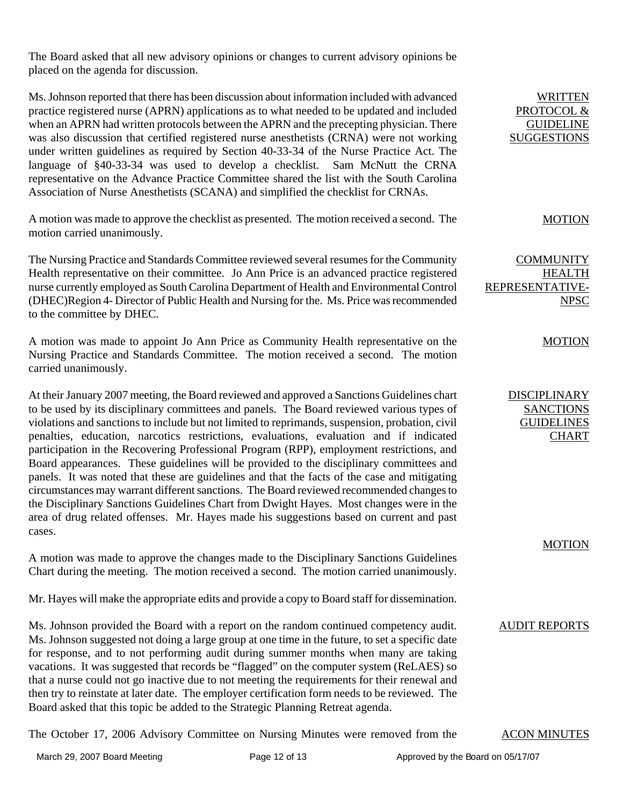The Board asked that all new advisory opinions or changes to current advisory opinions be placed on the agenda for discussion.

Ms. Johnson reported that there has been discussion about information included with advanced practice registered nurse (APRN) applications as to what needed to be updated and included when an APRN had written protocols between the APRN and the precepting physician. There was also discussion that certified registered nurse anesthetists (CRNA) were not working under written guidelines as required by Section 40-33-34 of the Nurse Practice Act. The language of §40-33-34 was used to develop a checklist. Sam McNutt the CRNA representative on the Advance Practice Committee shared the list with the South Carolina Association of Nurse Anesthetists (SCANA) and simplified the checklist for CRNAs.

A motion was made to approve the checklist as presented. The motion received a second. The motion carried unanimously.

The Nursing Practice and Standards Committee reviewed several resumes for the Community Health representative on their committee. Jo Ann Price is an advanced practice registered nurse currently employed as South Carolina Department of Health and Environmental Control (DHEC)Region 4- Director of Public Health and Nursing for the. Ms. Price was recommended to the committee by DHEC.

A motion was made to appoint Jo Ann Price as Community Health representative on the Nursing Practice and Standards Committee. The motion received a second. The motion carried unanimously.

At their January 2007 meeting, the Board reviewed and approved a Sanctions Guidelines chart to be used by its disciplinary committees and panels. The Board reviewed various types of violations and sanctions to include but not limited to reprimands, suspension, probation, civil penalties, education, narcotics restrictions, evaluations, evaluation and if indicated participation in the Recovering Professional Program (RPP), employment restrictions, and Board appearances. These guidelines will be provided to the disciplinary committees and panels. It was noted that these are guidelines and that the facts of the case and mitigating circumstances may warrant different sanctions. The Board reviewed recommended changes to the Disciplinary Sanctions Guidelines Chart from Dwight Hayes. Most changes were in the area of drug related offenses. Mr. Hayes made his suggestions based on current and past cases.

A motion was made to approve the changes made to the Disciplinary Sanctions Guidelines Chart during the meeting. The motion received a second. The motion carried unanimously.

Mr. Hayes will make the appropriate edits and provide a copy to Board staff for dissemination.

Ms. Johnson provided the Board with a report on the random continued competency audit. Ms. Johnson suggested not doing a large group at one time in the future, to set a specific date for response, and to not performing audit during summer months when many are taking vacations. It was suggested that records be "flagged" on the computer system (ReLAES) so that a nurse could not go inactive due to not meeting the requirements for their renewal and then try to reinstate at later date. The employer certification form needs to be reviewed. The Board asked that this topic be added to the Strategic Planning Retreat agenda.

The October 17, 2006 Advisory Committee on Nursing Minutes were removed from the ACON MINUTES

**WRITTEN** PROTOCOL & GUIDELINE SUGGESTIONS

### MOTION

**COMMUNITY** HEALTH REPRESENTATIVE-NPSC

### **MOTION**

DISCIPLINARY SANCTIONS GUIDELINES **CHART** 

# MOTION

#### AUDIT REPORTS